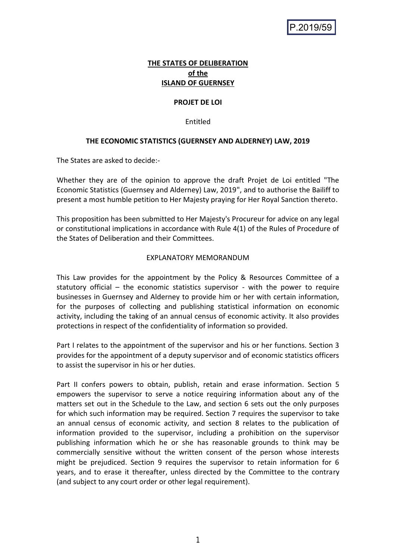# **THE STATES OF DELIBERATION of the ISLAND OF GUERNSEY**

# **PROJET DE LOI**

# Entitled

# **THE ECONOMIC STATISTICS (GUERNSEY AND ALDERNEY) LAW, 2019**

The States are asked to decide:-

Whether they are of the opinion to approve the draft Projet de Loi entitled "The Economic Statistics (Guernsey and Alderney) Law, 2019", and to authorise the Bailiff to present a most humble petition to Her Majesty praying for Her Royal Sanction thereto.

This proposition has been submitted to Her Majesty's Procureur for advice on any legal or constitutional implications in accordance with Rule 4(1) of the Rules of Procedure of the States of Deliberation and their Committees.

## EXPLANATORY MEMORANDUM

This Law provides for the appointment by the Policy & Resources Committee of a statutory official – the economic statistics supervisor - with the power to require businesses in Guernsey and Alderney to provide him or her with certain information, for the purposes of collecting and publishing statistical information on economic activity, including the taking of an annual census of economic activity. It also provides protections in respect of the confidentiality of information so provided.

Part I relates to the appointment of the supervisor and his or her functions. Section 3 provides for the appointment of a deputy supervisor and of economic statistics officers to assist the supervisor in his or her duties.

Part II confers powers to obtain, publish, retain and erase information. Section 5 empowers the supervisor to serve a notice requiring information about any of the matters set out in the Schedule to the Law, and section 6 sets out the only purposes for which such information may be required. Section 7 requires the supervisor to take an annual census of economic activity, and section 8 relates to the publication of information provided to the supervisor, including a prohibition on the supervisor publishing information which he or she has reasonable grounds to think may be commercially sensitive without the written consent of the person whose interests might be prejudiced. Section 9 requires the supervisor to retain information for 6 years, and to erase it thereafter, unless directed by the Committee to the contrary (and subject to any court order or other legal requirement).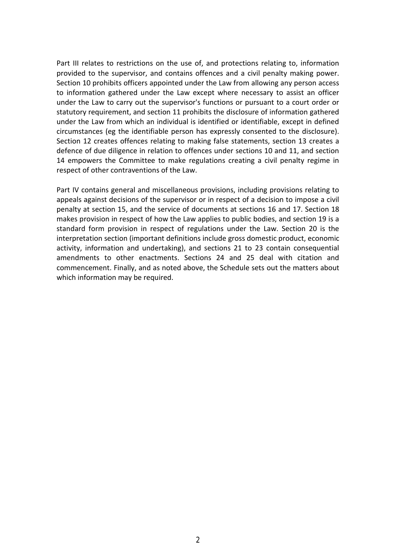Part III relates to restrictions on the use of, and protections relating to, information provided to the supervisor, and contains offences and a civil penalty making power. Section 10 prohibits officers appointed under the Law from allowing any person access to information gathered under the Law except where necessary to assist an officer under the Law to carry out the supervisor's functions or pursuant to a court order or statutory requirement, and section 11 prohibits the disclosure of information gathered under the Law from which an individual is identified or identifiable, except in defined circumstances (eg the identifiable person has expressly consented to the disclosure). Section 12 creates offences relating to making false statements, section 13 creates a defence of due diligence in relation to offences under sections 10 and 11, and section 14 empowers the Committee to make regulations creating a civil penalty regime in respect of other contraventions of the Law.

Part IV contains general and miscellaneous provisions, including provisions relating to appeals against decisions of the supervisor or in respect of a decision to impose a civil penalty at section 15, and the service of documents at sections 16 and 17. Section 18 makes provision in respect of how the Law applies to public bodies, and section 19 is a standard form provision in respect of regulations under the Law. Section 20 is the interpretation section (important definitions include gross domestic product, economic activity, information and undertaking), and sections 21 to 23 contain consequential amendments to other enactments. Sections 24 and 25 deal with citation and commencement. Finally, and as noted above, the Schedule sets out the matters about which information may be required.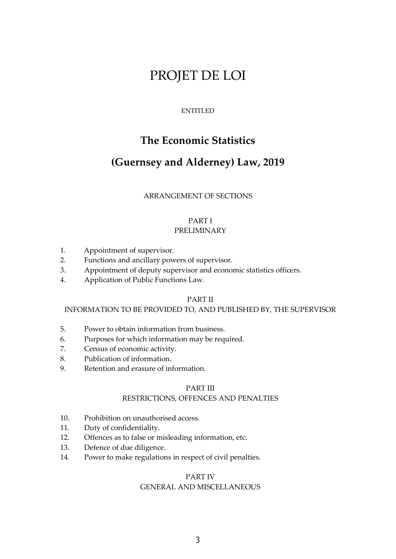# PROJET DE LOI

# ENTITLED

# **The Economic Statistics**

# **(Guernsey and Alderney) Law, 2019**

# ARRANGEMENT OF SECTIONS

#### PART I PRELIMINARY

- 1. Appointment of supervisor.
- 2. Functions and ancillary powers of supervisor.
- 3. Appointment of deputy supervisor and economic statistics officers.
- 4. Application of Public Functions Law.

#### PART II

#### INFORMATION TO BE PROVIDED TO, AND PUBLISHED BY, THE SUPERVISOR

- 5. Power to obtain information from business.
- 6. Purposes for which information may be required.
- 7. Census of economic activity.
- 8. Publication of information.
- 9. Retention and erasure of information.

# PART III

# RESTRICTIONS, OFFENCES AND PENALTIES

- 10. Prohibition on unauthorised access.
- 11. Duty of confidentiality.
- 12. Offences as to false or misleading information, etc.
- 13. Defence of due diligence.
- 14. Power to make regulations in respect of civil penalties.

#### PART IV

#### GENERAL AND MISCELLANEOUS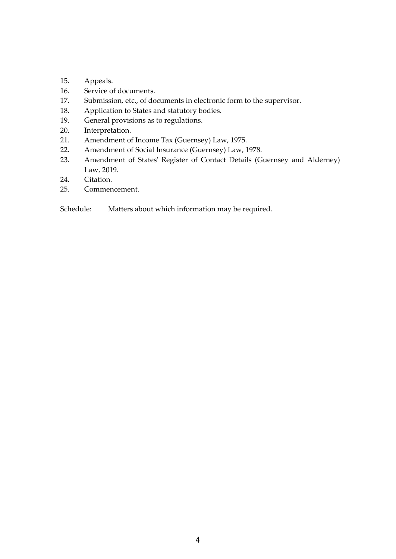- 15. Appeals.
- 16. Service of documents.
- 17. Submission, etc., of documents in electronic form to the supervisor.
- 18. Application to States and statutory bodies.
- 19. General provisions as to regulations.
- 20. Interpretation.
- 21. Amendment of Income Tax (Guernsey) Law, 1975.
- 22. Amendment of Social Insurance (Guernsey) Law, 1978.
- 23. Amendment of States' Register of Contact Details (Guernsey and Alderney) Law, 2019.
- 24. Citation.
- 25. Commencement.

Schedule: Matters about which information may be required.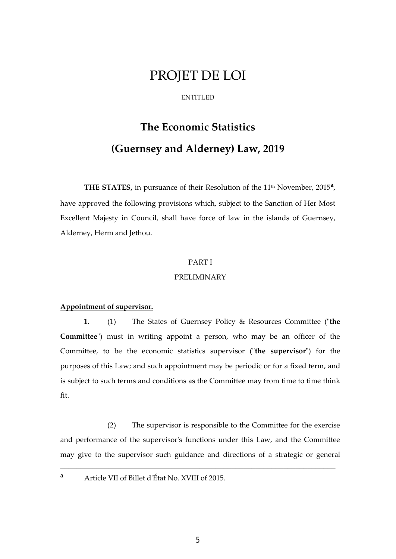# PROJET DE LOI

#### ENTITLED

# **The Economic Statistics (Guernsey and Alderney) Law, 2019**

THE STATES, in pursuance of their Resolution of the 11<sup>th</sup> November, 2015<sup>a</sup>, have approved the following provisions which, subject to the Sanction of Her Most Excellent Majesty in Council, shall have force of law in the islands of Guernsey, Alderney, Herm and Jethou.

#### PART I

#### PRELIMINARY

## **Appointment of supervisor.**

**1.** (1) The States of Guernsey Policy & Resources Committee ("**the Committee**") must in writing appoint a person, who may be an officer of the Committee, to be the economic statistics supervisor ("**the supervisor**") for the purposes of this Law; and such appointment may be periodic or for a fixed term, and is subject to such terms and conditions as the Committee may from time to time think fit.

 (2) The supervisor is responsible to the Committee for the exercise and performance of the supervisor's functions under this Law, and the Committee may give to the supervisor such guidance and directions of a strategic or general

\_\_\_\_\_\_\_\_\_\_\_\_\_\_\_\_\_\_\_\_\_\_\_\_\_\_\_\_\_\_\_\_\_\_\_\_\_\_\_\_\_\_\_\_\_\_\_\_\_\_\_\_\_\_\_\_\_\_\_\_\_\_\_\_\_\_\_\_\_

**a** Article VII of Billet d'État No. XVIII of 2015.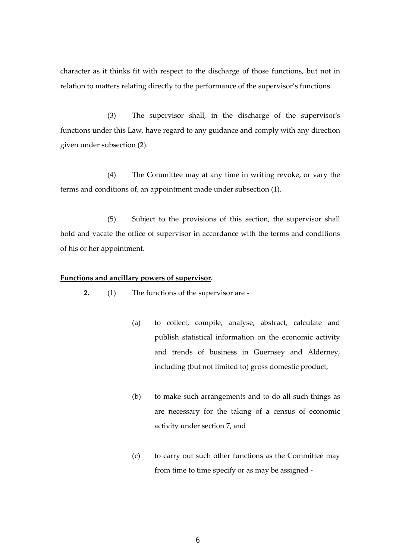character as it thinks fit with respect to the discharge of those functions, but not in relation to matters relating directly to the performance of the supervisor's functions.

(3) The supervisor shall, in the discharge of the supervisor's functions under this Law, have regard to any guidance and comply with any direction given under subsection (2).

(4) The Committee may at any time in writing revoke, or vary the terms and conditions of, an appointment made under subsection (1).

(5) Subject to the provisions of this section, the supervisor shall hold and vacate the office of supervisor in accordance with the terms and conditions of his or her appointment.

#### **Functions and ancillary powers of supervisor.**

**2.** (1) The functions of the supervisor are -

- (a) to collect, compile, analyse, abstract, calculate and publish statistical information on the economic activity and trends of business in Guernsey and Alderney, including (but not limited to) gross domestic product,
- (b) to make such arrangements and to do all such things as are necessary for the taking of a census of economic activity under section 7, and
- (c) to carry out such other functions as the Committee may from time to time specify or as may be assigned -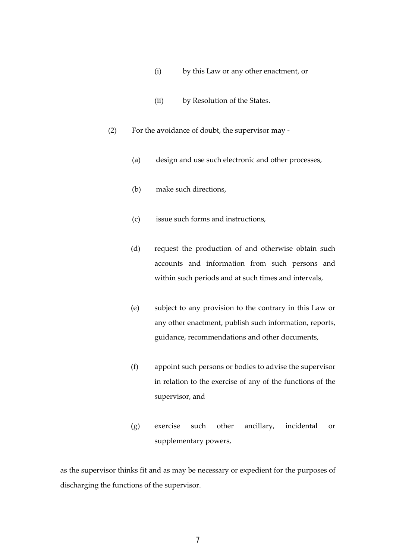- (i) by this Law or any other enactment, or
- (ii) by Resolution of the States.
- (2) For the avoidance of doubt, the supervisor may
	- (a) design and use such electronic and other processes,
	- (b) make such directions,
	- (c) issue such forms and instructions,
	- (d) request the production of and otherwise obtain such accounts and information from such persons and within such periods and at such times and intervals,
	- (e) subject to any provision to the contrary in this Law or any other enactment, publish such information, reports, guidance, recommendations and other documents,
	- (f) appoint such persons or bodies to advise the supervisor in relation to the exercise of any of the functions of the supervisor, and
	- (g) exercise such other ancillary, incidental or supplementary powers,

as the supervisor thinks fit and as may be necessary or expedient for the purposes of discharging the functions of the supervisor.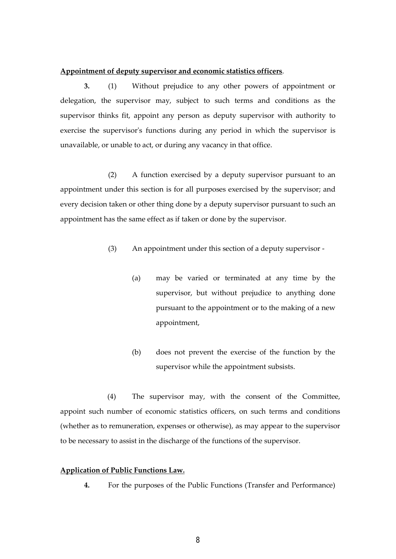#### **Appointment of deputy supervisor and economic statistics officers**.

**3.** (1) Without prejudice to any other powers of appointment or delegation, the supervisor may, subject to such terms and conditions as the supervisor thinks fit, appoint any person as deputy supervisor with authority to exercise the supervisor's functions during any period in which the supervisor is unavailable, or unable to act, or during any vacancy in that office.

 (2) A function exercised by a deputy supervisor pursuant to an appointment under this section is for all purposes exercised by the supervisor; and every decision taken or other thing done by a deputy supervisor pursuant to such an appointment has the same effect as if taken or done by the supervisor.

- (3) An appointment under this section of a deputy supervisor
	- (a) may be varied or terminated at any time by the supervisor, but without prejudice to anything done pursuant to the appointment or to the making of a new appointment,
	- (b) does not prevent the exercise of the function by the supervisor while the appointment subsists.

(4) The supervisor may, with the consent of the Committee, appoint such number of economic statistics officers, on such terms and conditions (whether as to remuneration, expenses or otherwise), as may appear to the supervisor to be necessary to assist in the discharge of the functions of the supervisor.

## **Application of Public Functions Law.**

**4.** For the purposes of the Public Functions (Transfer and Performance)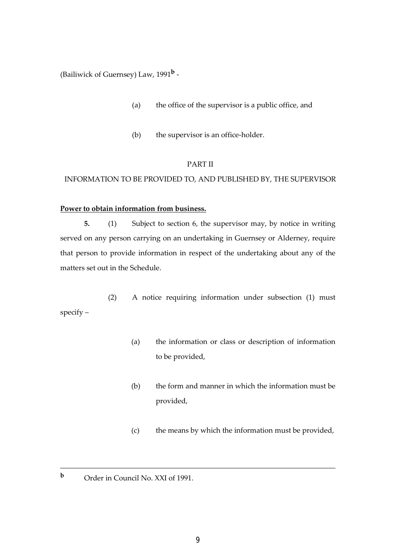(Bailiwick of Guernsey) Law, 1991**<sup>b</sup>** -

- (a) the office of the supervisor is a public office, and
- (b) the supervisor is an office-holder.

# PART II

# INFORMATION TO BE PROVIDED TO, AND PUBLISHED BY, THE SUPERVISOR

# **Power to obtain information from business.**

**5.** (1) Subject to section 6, the supervisor may, by notice in writing served on any person carrying on an undertaking in Guernsey or Alderney, require that person to provide information in respect of the undertaking about any of the matters set out in the Schedule.

(2) A notice requiring information under subsection (1) must specify –

- (a) the information or class or description of information to be provided,
- (b) the form and manner in which the information must be provided,
- (c) the means by which the information must be provided,
- **b** Order in Council No. XXI of 1991.

\_\_\_\_\_\_\_\_\_\_\_\_\_\_\_\_\_\_\_\_\_\_\_\_\_\_\_\_\_\_\_\_\_\_\_\_\_\_\_\_\_\_\_\_\_\_\_\_\_\_\_\_\_\_\_\_\_\_\_\_\_\_\_\_\_\_\_\_\_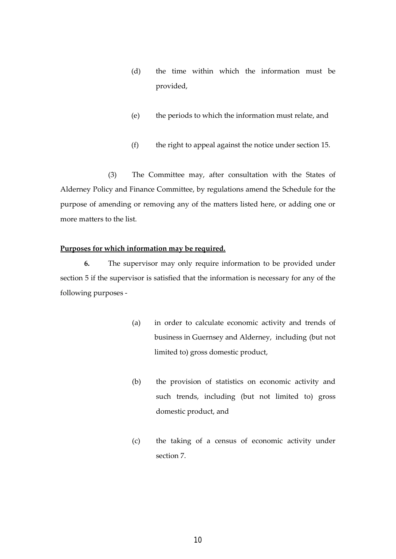- (d) the time within which the information must be provided,
- (e) the periods to which the information must relate, and
- (f) the right to appeal against the notice under section 15.

 (3) The Committee may, after consultation with the States of Alderney Policy and Finance Committee, by regulations amend the Schedule for the purpose of amending or removing any of the matters listed here, or adding one or more matters to the list.

# **Purposes for which information may be required.**

**6.** The supervisor may only require information to be provided under section 5 if the supervisor is satisfied that the information is necessary for any of the following purposes -

- (a) in order to calculate economic activity and trends of business in Guernsey and Alderney, including (but not limited to) gross domestic product,
- (b) the provision of statistics on economic activity and such trends, including (but not limited to) gross domestic product, and
- (c) the taking of a census of economic activity under section 7.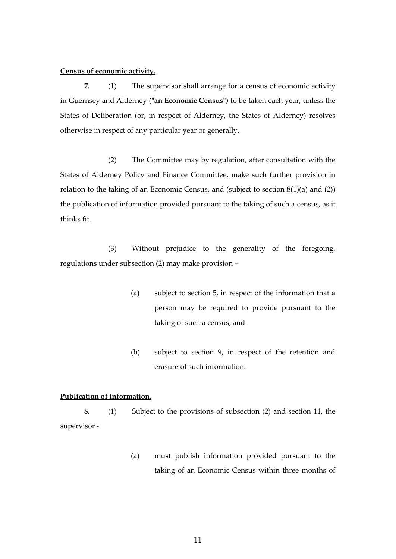#### **Census of economic activity.**

**7.** (1) The supervisor shall arrange for a census of economic activity in Guernsey and Alderney (**"an Economic Census")** to be taken each year, unless the States of Deliberation (or, in respect of Alderney, the States of Alderney) resolves otherwise in respect of any particular year or generally.

(2) The Committee may by regulation, after consultation with the States of Alderney Policy and Finance Committee, make such further provision in relation to the taking of an Economic Census, and (subject to section 8(1)(a) and (2)) the publication of information provided pursuant to the taking of such a census, as it thinks fit.

(3) Without prejudice to the generality of the foregoing, regulations under subsection (2) may make provision –

- (a) subject to section 5, in respect of the information that a person may be required to provide pursuant to the taking of such a census, and
- (b) subject to section 9, in respect of the retention and erasure of such information.

# **Publication of information.**

**8.** (1) Subject to the provisions of subsection (2) and section 11, the supervisor -

> (a) must publish information provided pursuant to the taking of an Economic Census within three months of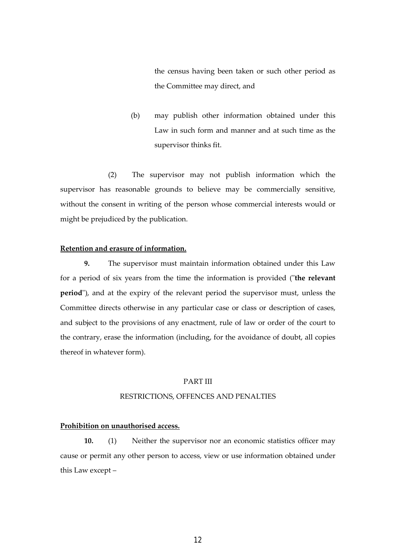the census having been taken or such other period as the Committee may direct, and

(b) may publish other information obtained under this Law in such form and manner and at such time as the supervisor thinks fit.

(2) The supervisor may not publish information which the supervisor has reasonable grounds to believe may be commercially sensitive, without the consent in writing of the person whose commercial interests would or might be prejudiced by the publication.

#### **Retention and erasure of information.**

 **9.** The supervisor must maintain information obtained under this Law for a period of six years from the time the information is provided ("**the relevant period**"), and at the expiry of the relevant period the supervisor must, unless the Committee directs otherwise in any particular case or class or description of cases, and subject to the provisions of any enactment, rule of law or order of the court to the contrary, erase the information (including, for the avoidance of doubt, all copies thereof in whatever form).

#### PART III

# RESTRICTIONS, OFFENCES AND PENALTIES

# **Prohibition on unauthorised access.**

**10.** (1) Neither the supervisor nor an economic statistics officer may cause or permit any other person to access, view or use information obtained under this Law except –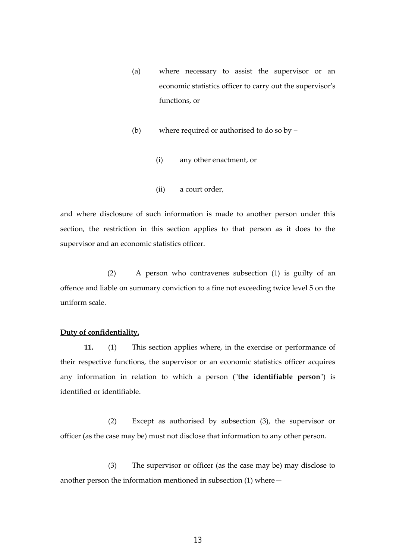- (a) where necessary to assist the supervisor or an economic statistics officer to carry out the supervisor's functions, or
- (b) where required or authorised to do so by
	- (i) any other enactment, or
	- (ii) a court order,

and where disclosure of such information is made to another person under this section, the restriction in this section applies to that person as it does to the supervisor and an economic statistics officer.

(2) A person who contravenes subsection (1) is guilty of an offence and liable on summary conviction to a fine not exceeding twice level 5 on the uniform scale.

#### **Duty of confidentiality.**

 **11.** (1) This section applies where, in the exercise or performance of their respective functions, the supervisor or an economic statistics officer acquires any information in relation to which a person ("**the identifiable person**") is identified or identifiable.

(2) Except as authorised by subsection (3), the supervisor or officer (as the case may be) must not disclose that information to any other person.

 (3) The supervisor or officer (as the case may be) may disclose to another person the information mentioned in subsection (1) where—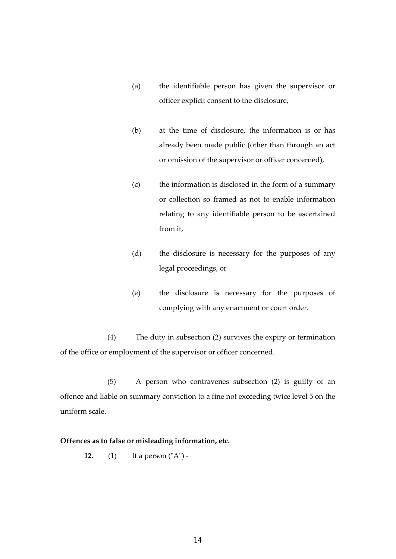- (a) the identifiable person has given the supervisor or officer explicit consent to the disclosure,
- (b) at the time of disclosure, the information is or has already been made public (other than through an act or omission of the supervisor or officer concerned),
- (c) the information is disclosed in the form of a summary or collection so framed as not to enable information relating to any identifiable person to be ascertained from it,
- (d) the disclosure is necessary for the purposes of any legal proceedings, or
- (e) the disclosure is necessary for the purposes of complying with any enactment or court order.

(4) The duty in subsection (2) survives the expiry or termination of the office or employment of the supervisor or officer concerned.

(5) A person who contravenes subsection (2) is guilty of an offence and liable on summary conviction to a fine not exceeding twice level 5 on the uniform scale.

# **Offences as to false or misleading information, etc.**

**12.** (1) If a person ("A") -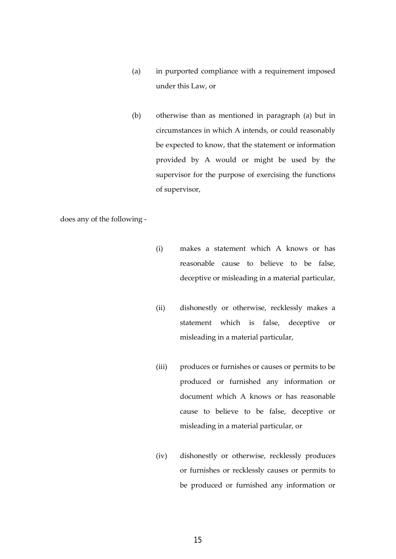- (a) in purported compliance with a requirement imposed under this Law, or
- (b) otherwise than as mentioned in paragraph (a) but in circumstances in which A intends, or could reasonably be expected to know, that the statement or information provided by A would or might be used by the supervisor for the purpose of exercising the functions of supervisor,

does any of the following -

- (i) makes a statement which A knows or has reasonable cause to believe to be false, deceptive or misleading in a material particular,
- (ii) dishonestly or otherwise, recklessly makes a statement which is false, deceptive or misleading in a material particular,
- (iii) produces or furnishes or causes or permits to be produced or furnished any information or document which A knows or has reasonable cause to believe to be false, deceptive or misleading in a material particular, or
- (iv) dishonestly or otherwise, recklessly produces or furnishes or recklessly causes or permits to be produced or furnished any information or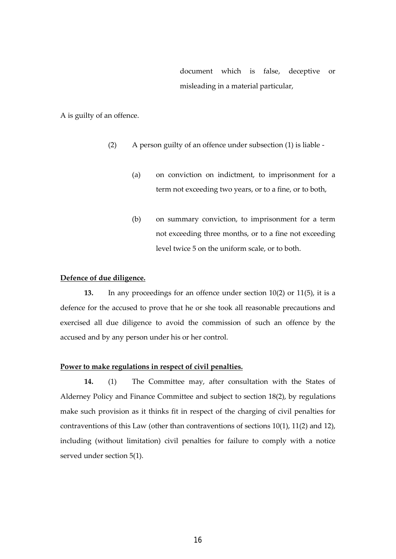document which is false, deceptive or misleading in a material particular,

A is guilty of an offence.

- (2) A person guilty of an offence under subsection (1) is liable
	- (a) on conviction on indictment, to imprisonment for a term not exceeding two years, or to a fine, or to both,
	- (b) on summary conviction, to imprisonment for a term not exceeding three months, or to a fine not exceeding level twice 5 on the uniform scale, or to both.

#### **Defence of due diligence.**

 **13.** In any proceedings for an offence under section 10(2) or 11(5), it is a defence for the accused to prove that he or she took all reasonable precautions and exercised all due diligence to avoid the commission of such an offence by the accused and by any person under his or her control.

#### **Power to make regulations in respect of civil penalties.**

**14.** (1) The Committee may, after consultation with the States of Alderney Policy and Finance Committee and subject to section 18(2), by regulations make such provision as it thinks fit in respect of the charging of civil penalties for contraventions of this Law (other than contraventions of sections 10(1), 11(2) and 12), including (without limitation) civil penalties for failure to comply with a notice served under section 5(1).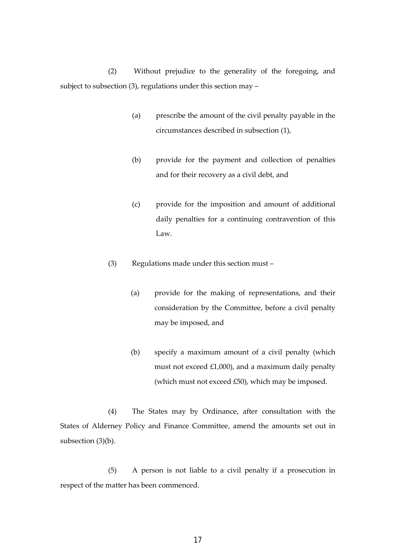(2) Without prejudice to the generality of the foregoing, and subject to subsection (3), regulations under this section may –

- (a) prescribe the amount of the civil penalty payable in the circumstances described in subsection (1),
- (b) provide for the payment and collection of penalties and for their recovery as a civil debt, and
- (c) provide for the imposition and amount of additional daily penalties for a continuing contravention of this Law.
- (3) Regulations made under this section must
	- (a) provide for the making of representations, and their consideration by the Committee, before a civil penalty may be imposed, and
	- (b) specify a maximum amount of a civil penalty (which must not exceed £1,000), and a maximum daily penalty (which must not exceed £50), which may be imposed.

 (4) The States may by Ordinance, after consultation with the States of Alderney Policy and Finance Committee, amend the amounts set out in subsection (3)(b).

 (5) A person is not liable to a civil penalty if a prosecution in respect of the matter has been commenced.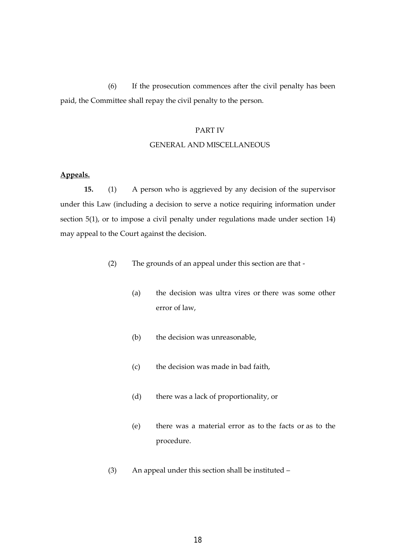(6) If the prosecution commences after the civil penalty has been paid, the Committee shall repay the civil penalty to the person.

#### PART IV

#### GENERAL AND MISCELLANEOUS

# **Appeals.**

**15.** (1) A person who is aggrieved by any decision of the supervisor under this Law (including a decision to serve a notice requiring information under section 5(1), or to impose a civil penalty under regulations made under section 14) may appeal to the Court against the decision.

- (2) The grounds of an appeal under this section are that
	- (a) the decision was ultra vires or there was some other error of law,
	- (b) the decision was unreasonable,
	- (c) the decision was made in bad faith,
	- (d) there was a lack of proportionality, or
	- (e) there was a material error as to the facts or as to the procedure.
- (3) An appeal under this section shall be instituted –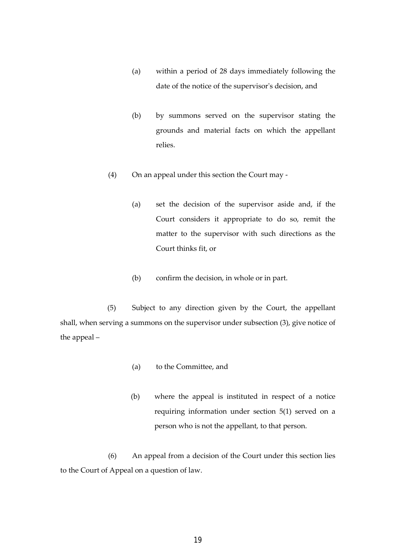- (a) within a period of 28 days immediately following the date of the notice of the supervisor's decision, and
- (b) by summons served on the supervisor stating the grounds and material facts on which the appellant relies.
- (4) On an appeal under this section the Court may
	- (a) set the decision of the supervisor aside and, if the Court considers it appropriate to do so, remit the matter to the supervisor with such directions as the Court thinks fit, or
	- (b) confirm the decision, in whole or in part.

(5) Subject to any direction given by the Court, the appellant shall, when serving a summons on the supervisor under subsection (3), give notice of the appeal –

- (a) to the Committee, and
- (b) where the appeal is instituted in respect of a notice requiring information under section 5(1) served on a person who is not the appellant, to that person.

(6) An appeal from a decision of the Court under this section lies to the Court of Appeal on a question of law.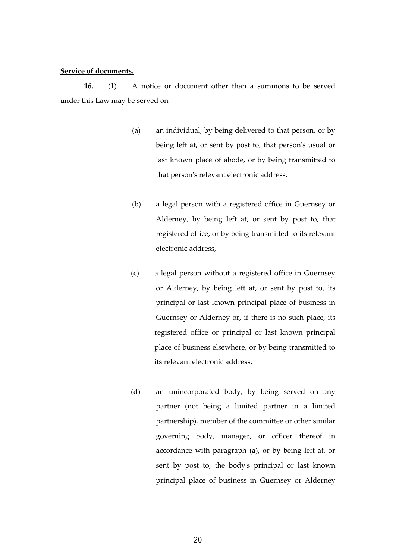#### **Service of documents.**

**16.** (1) A notice or document other than a summons to be served under this Law may be served on –

- (a) an individual, by being delivered to that person, or by being left at, or sent by post to, that person's usual or last known place of abode, or by being transmitted to that person's relevant electronic address,
- (b) a legal person with a registered office in Guernsey or Alderney, by being left at, or sent by post to, that registered office, or by being transmitted to its relevant electronic address,
- (c) a legal person without a registered office in Guernsey or Alderney, by being left at, or sent by post to, its principal or last known principal place of business in Guernsey or Alderney or, if there is no such place, its registered office or principal or last known principal place of business elsewhere, or by being transmitted to its relevant electronic address,
- (d) an unincorporated body, by being served on any partner (not being a limited partner in a limited partnership), member of the committee or other similar governing body, manager, or officer thereof in accordance with paragraph (a), or by being left at, or sent by post to, the body's principal or last known principal place of business in Guernsey or Alderney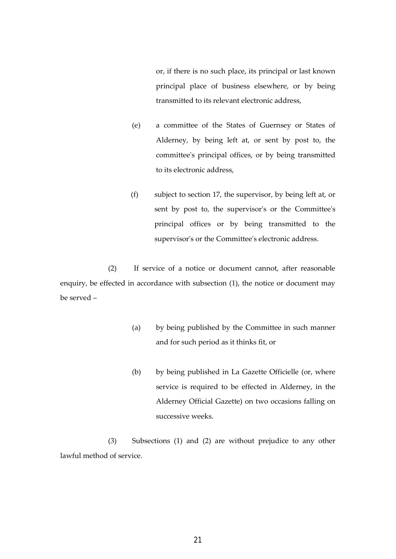or, if there is no such place, its principal or last known principal place of business elsewhere, or by being transmitted to its relevant electronic address,

- (e) a committee of the States of Guernsey or States of Alderney, by being left at, or sent by post to, the committee's principal offices, or by being transmitted to its electronic address,
- (f) subject to section 17, the supervisor, by being left at, or sent by post to, the supervisor's or the Committee's principal offices or by being transmitted to the supervisor's or the Committee's electronic address.

(2) If service of a notice or document cannot, after reasonable enquiry, be effected in accordance with subsection (1), the notice or document may be served –

- (a) by being published by the Committee in such manner and for such period as it thinks fit, or
- (b) by being published in La Gazette Officielle (or, where service is required to be effected in Alderney, in the Alderney Official Gazette) on two occasions falling on successive weeks.

(3) Subsections (1) and (2) are without prejudice to any other lawful method of service.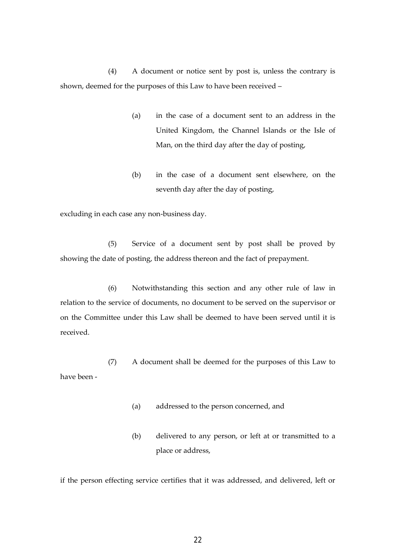(4) A document or notice sent by post is, unless the contrary is shown, deemed for the purposes of this Law to have been received –

- (a) in the case of a document sent to an address in the United Kingdom, the Channel Islands or the Isle of Man, on the third day after the day of posting,
- (b) in the case of a document sent elsewhere, on the seventh day after the day of posting,

excluding in each case any non-business day.

(5) Service of a document sent by post shall be proved by showing the date of posting, the address thereon and the fact of prepayment.

(6) Notwithstanding this section and any other rule of law in relation to the service of documents, no document to be served on the supervisor or on the Committee under this Law shall be deemed to have been served until it is received.

 (7) A document shall be deemed for the purposes of this Law to have been -

- (a) addressed to the person concerned, and
- (b) delivered to any person, or left at or transmitted to a place or address,

if the person effecting service certifies that it was addressed, and delivered, left or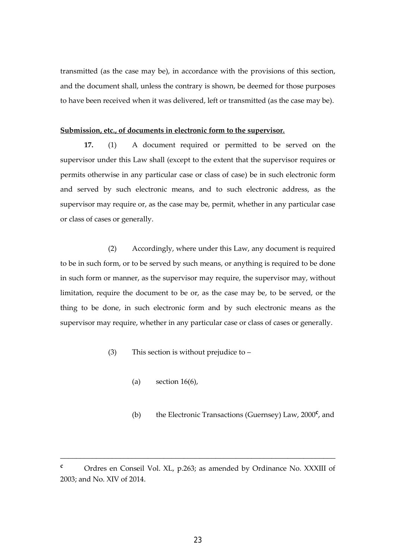transmitted (as the case may be), in accordance with the provisions of this section, and the document shall, unless the contrary is shown, be deemed for those purposes to have been received when it was delivered, left or transmitted (as the case may be).

#### **Submission, etc., of documents in electronic form to the supervisor.**

**17.** (1) A document required or permitted to be served on the supervisor under this Law shall (except to the extent that the supervisor requires or permits otherwise in any particular case or class of case) be in such electronic form and served by such electronic means, and to such electronic address, as the supervisor may require or, as the case may be, permit, whether in any particular case or class of cases or generally.

 (2) Accordingly, where under this Law, any document is required to be in such form, or to be served by such means, or anything is required to be done in such form or manner, as the supervisor may require, the supervisor may, without limitation, require the document to be or, as the case may be, to be served, or the thing to be done, in such electronic form and by such electronic means as the supervisor may require, whether in any particular case or class of cases or generally.

- (3) This section is without prejudice to
	- (a) section  $16(6)$ ,
- (b) the Electronic Transactions (Guernsey) Law, 2000**<sup>c</sup>** , and

\_\_\_\_\_\_\_\_\_\_\_\_\_\_\_\_\_\_\_\_\_\_\_\_\_\_\_\_\_\_\_\_\_\_\_\_\_\_\_\_\_\_\_\_\_\_\_\_\_\_\_\_\_\_\_\_\_\_\_\_\_\_\_\_\_\_\_\_\_

**c** Ordres en Conseil Vol. XL, p.263; as amended by Ordinance No. XXXIII of 2003; and No. XIV of 2014.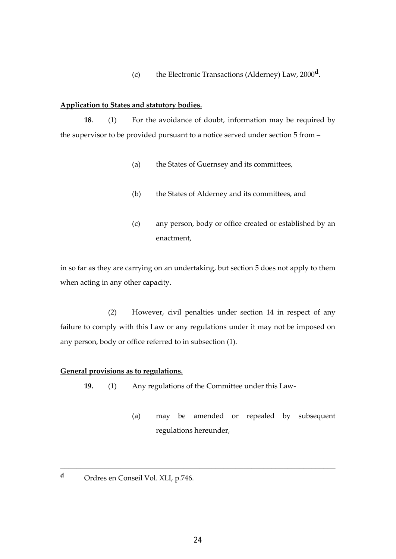(c) the Electronic Transactions (Alderney) Law, 2000**<sup>d</sup>** .

#### **Application to States and statutory bodies.**

**18**. (1) For the avoidance of doubt, information may be required by the supervisor to be provided pursuant to a notice served under section 5 from –

- (a) the States of Guernsey and its committees,
- (b) the States of Alderney and its committees, and
- (c) any person, body or office created or established by an enactment,

in so far as they are carrying on an undertaking, but section 5 does not apply to them when acting in any other capacity.

 (2) However, civil penalties under section 14 in respect of any failure to comply with this Law or any regulations under it may not be imposed on any person, body or office referred to in subsection (1).

#### **General provisions as to regulations.**

- **19.** (1) Any regulations of the Committee under this Law-
	- (a) may be amended or repealed by subsequent regulations hereunder,
- **d** Ordres en Conseil Vol. XLI, p.746.

\_\_\_\_\_\_\_\_\_\_\_\_\_\_\_\_\_\_\_\_\_\_\_\_\_\_\_\_\_\_\_\_\_\_\_\_\_\_\_\_\_\_\_\_\_\_\_\_\_\_\_\_\_\_\_\_\_\_\_\_\_\_\_\_\_\_\_\_\_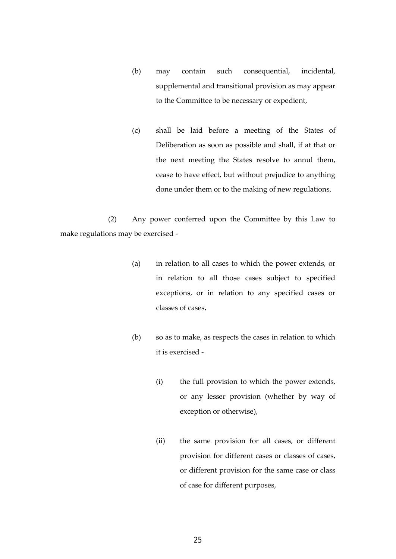- (b) may contain such consequential, incidental, supplemental and transitional provision as may appear to the Committee to be necessary or expedient,
- (c) shall be laid before a meeting of the States of Deliberation as soon as possible and shall, if at that or the next meeting the States resolve to annul them, cease to have effect, but without prejudice to anything done under them or to the making of new regulations.

 (2) Any power conferred upon the Committee by this Law to make regulations may be exercised -

- (a) in relation to all cases to which the power extends, or in relation to all those cases subject to specified exceptions, or in relation to any specified cases or classes of cases,
- (b) so as to make, as respects the cases in relation to which it is exercised -
	- (i) the full provision to which the power extends, or any lesser provision (whether by way of exception or otherwise),
	- (ii) the same provision for all cases, or different provision for different cases or classes of cases, or different provision for the same case or class of case for different purposes,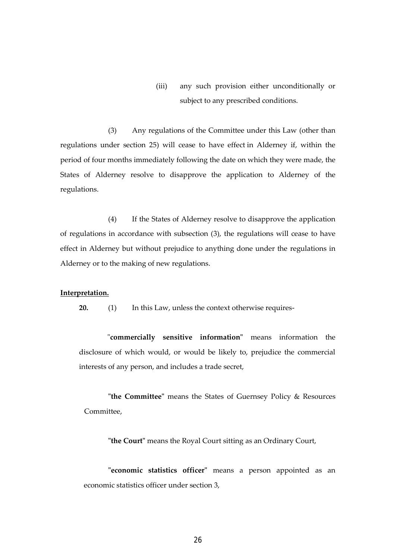(iii) any such provision either unconditionally or subject to any prescribed conditions.

(3) Any regulations of the Committee under this Law (other than regulations under section 25) will cease to have effect in Alderney if, within the period of four months immediately following the date on which they were made, the States of Alderney resolve to disapprove the application to Alderney of the regulations.

(4) If the States of Alderney resolve to disapprove the application of regulations in accordance with subsection (3), the regulations will cease to have effect in Alderney but without prejudice to anything done under the regulations in Alderney or to the making of new regulations.

#### **Interpretation.**

 **20.** (1) In this Law, unless the context otherwise requires-

"**commercially sensitive information"** means information the disclosure of which would, or would be likely to, prejudice the commercial interests of any person, and includes a trade secret,

**"the Committee"** means the States of Guernsey Policy & Resources Committee,

**"the Court"** means the Royal Court sitting as an Ordinary Court,

 **"economic statistics officer"** means a person appointed as an economic statistics officer under section 3,

26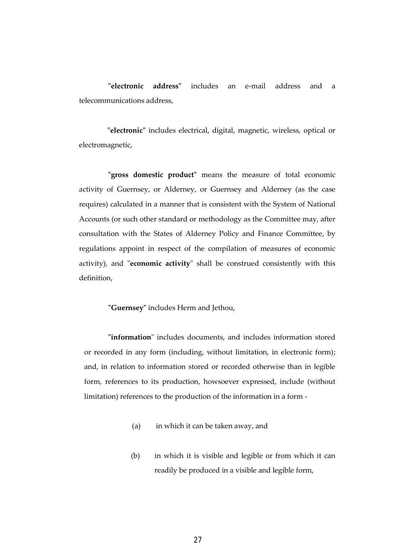**"electronic address"** includes an e-mail address and a telecommunications address,

**"electronic"** includes electrical, digital, magnetic, wireless, optical or electromagnetic,

**"gross domestic product"** means the measure of total economic activity of Guernsey, or Alderney, or Guernsey and Alderney (as the case requires) calculated in a manner that is consistent with the System of National Accounts (or such other standard or methodology as the Committee may, after consultation with the States of Alderney Policy and Finance Committee, by regulations appoint in respect of the compilation of measures of economic activity), and "**economic activity**" shall be construed consistently with this definition,

 **"Guernsey"** includes Herm and Jethou,

 **"information**" includes documents, and includes information stored or recorded in any form (including, without limitation, in electronic form); and, in relation to information stored or recorded otherwise than in legible form, references to its production, howsoever expressed, include (without limitation) references to the production of the information in a form -

- (a) in which it can be taken away, and
- (b) in which it is visible and legible or from which it can readily be produced in a visible and legible form,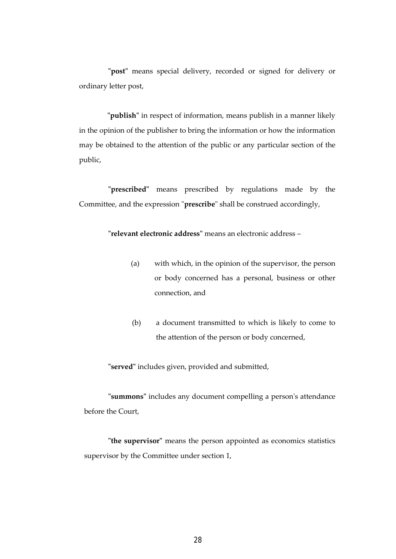**"post"** means special delivery, recorded or signed for delivery or ordinary letter post,

**"publish"** in respect of information, means publish in a manner likely in the opinion of the publisher to bring the information or how the information may be obtained to the attention of the public or any particular section of the public,

 **"prescribed"** means prescribed by regulations made by the Committee, and the expression "**prescribe**" shall be construed accordingly,

 **"relevant electronic address"** means an electronic address –

- (a) with which, in the opinion of the supervisor, the person or body concerned has a personal, business or other connection, and
- (b) a document transmitted to which is likely to come to the attention of the person or body concerned,

**"served"** includes given, provided and submitted,

**"summons"** includes any document compelling a person's attendance before the Court,

**"the supervisor"** means the person appointed as economics statistics supervisor by the Committee under section 1,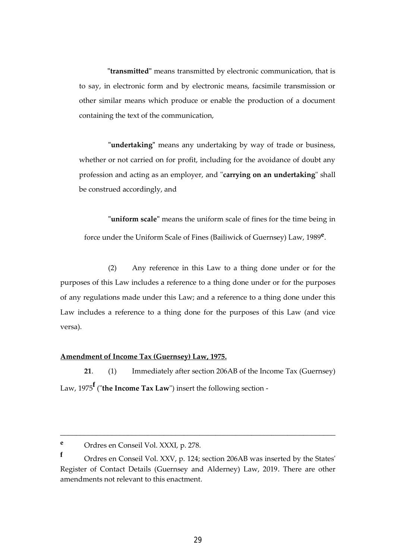**"transmitted"** means transmitted by electronic communication, that is to say, in electronic form and by electronic means, facsimile transmission or other similar means which produce or enable the production of a document containing the text of the communication,

 **"undertaking"** means any undertaking by way of trade or business, whether or not carried on for profit, including for the avoidance of doubt any profession and acting as an employer, and "**carrying on an undertaking**" shall be construed accordingly, and

**"uniform scale"** means the uniform scale of fines for the time being in force under the Uniform Scale of Fines (Bailiwick of Guernsey) Law, 1989**<sup>e</sup>** .

(2) Any reference in this Law to a thing done under or for the purposes of this Law includes a reference to a thing done under or for the purposes of any regulations made under this Law; and a reference to a thing done under this Law includes a reference to a thing done for the purposes of this Law (and vice versa).

#### **Amendment of Income Tax (Guernsey) Law, 1975.**

**21**. (1) Immediately after section 206AB of the Income Tax (Guernsey) Law, 1975**<sup>f</sup>** ("**the Income Tax Law**") insert the following section -

\_\_\_\_\_\_\_\_\_\_\_\_\_\_\_\_\_\_\_\_\_\_\_\_\_\_\_\_\_\_\_\_\_\_\_\_\_\_\_\_\_\_\_\_\_\_\_\_\_\_\_\_\_\_\_\_\_\_\_\_\_\_\_\_\_\_\_\_\_

**<sup>e</sup>** Ordres en Conseil Vol. XXXI, p. 278.

**<sup>f</sup>** Ordres en Conseil Vol. XXV, p. 124; section 206AB was inserted by the States' Register of Contact Details (Guernsey and Alderney) Law, 2019. There are other amendments not relevant to this enactment.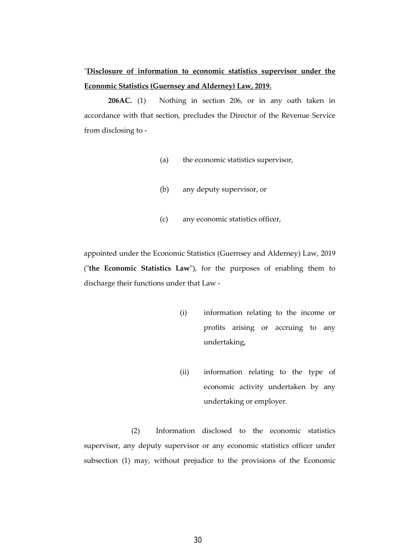# "**Disclosure of information to economic statistics supervisor under the Economic Statistics (Guernsey and Alderney) Law, 2019.**

**206AC.** (1) Nothing in section 206, or in any oath taken in accordance with that section, precludes the Director of the Revenue Service from disclosing to -

- (a) the economic statistics supervisor,
- (b) any deputy supervisor, or
- (c) any economic statistics officer,

appointed under the Economic Statistics (Guernsey and Alderney) Law, 2019 ("**the Economic Statistics Law**"), for the purposes of enabling them to discharge their functions under that Law -

- (i) information relating to the income or profits arising or accruing to any undertaking,
- (ii) information relating to the type of economic activity undertaken by any undertaking or employer.

(2) Information disclosed to the economic statistics supervisor, any deputy supervisor or any economic statistics officer under subsection (1) may, without prejudice to the provisions of the Economic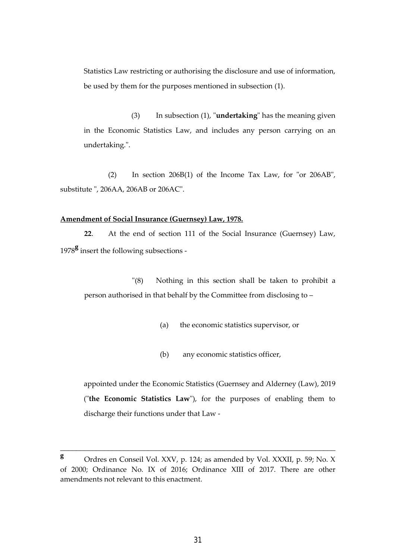Statistics Law restricting or authorising the disclosure and use of information, be used by them for the purposes mentioned in subsection (1).

(3) In subsection (1), "**undertaking**" has the meaning given in the Economic Statistics Law, and includes any person carrying on an undertaking.".

 (2) In section 206B(1) of the Income Tax Law, for "or 206AB", substitute ", 206AA, 206AB or 206AC".

#### **Amendment of Social Insurance (Guernsey) Law, 1978.**

**22**. At the end of section 111 of the Social Insurance (Guernsey) Law, <sup>1978</sup>**<sup>g</sup>** insert the following subsections -

 "(8) Nothing in this section shall be taken to prohibit a person authorised in that behalf by the Committee from disclosing to –

- (a) the economic statistics supervisor, or
- (b) any economic statistics officer,

appointed under the Economic Statistics (Guernsey and Alderney (Law), 2019 ("**the Economic Statistics Law**"), for the purposes of enabling them to discharge their functions under that Law -

\_\_\_\_\_\_\_\_\_\_\_\_\_\_\_\_\_\_\_\_\_\_\_\_\_\_\_\_\_\_\_\_\_\_\_\_\_\_\_\_\_\_\_\_\_\_\_\_\_\_\_\_\_\_\_\_\_\_\_\_\_\_\_\_\_\_\_\_\_

**<sup>g</sup>** Ordres en Conseil Vol. XXV, p. 124; as amended by Vol. XXXII, p. 59; No. X of 2000; Ordinance No. IX of 2016; Ordinance XIII of 2017. There are other amendments not relevant to this enactment.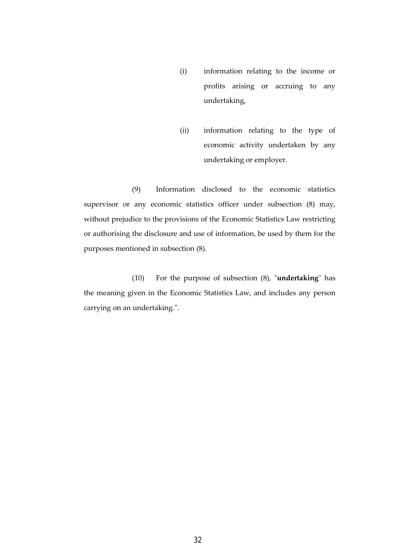- (i) information relating to the income or profits arising or accruing to any undertaking,
- (ii) information relating to the type of economic activity undertaken by any undertaking or employer.

(9) Information disclosed to the economic statistics supervisor or any economic statistics officer under subsection (8) may, without prejudice to the provisions of the Economic Statistics Law restricting or authorising the disclosure and use of information, be used by them for the purposes mentioned in subsection (8).

 (10) For the purpose of subsection (8), "**undertaking**" has the meaning given in the Economic Statistics Law, and includes any person carrying on an undertaking.".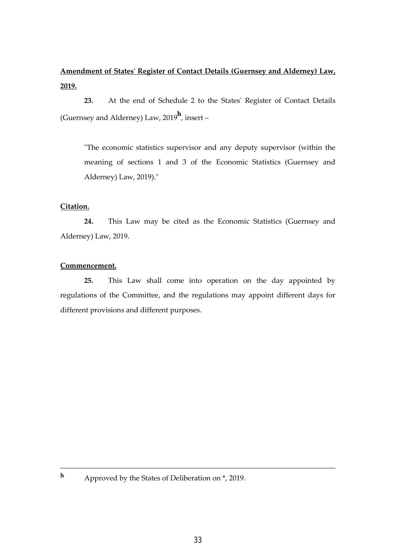# **Amendment of States' Register of Contact Details (Guernsey and Alderney) Law, 2019.**

 **23.** At the end of Schedule 2 to the States' Register of Contact Details (Guernsey and Alderney) Law, 2019**<sup>h</sup>** , insert –

"The economic statistics supervisor and any deputy supervisor (within the meaning of sections 1 and 3 of the Economic Statistics (Guernsey and Alderney) Law, 2019)."

## **Citation.**

 **24.** This Law may be cited as the Economic Statistics (Guernsey and Alderney) Law, 2019.

# **Commencement.**

 **25.** This Law shall come into operation on the day appointed by regulations of the Committee, and the regulations may appoint different days for different provisions and different purposes.

**<sup>h</sup>** Approved by the States of Deliberation on \*, 2019.

\_\_\_\_\_\_\_\_\_\_\_\_\_\_\_\_\_\_\_\_\_\_\_\_\_\_\_\_\_\_\_\_\_\_\_\_\_\_\_\_\_\_\_\_\_\_\_\_\_\_\_\_\_\_\_\_\_\_\_\_\_\_\_\_\_\_\_\_\_